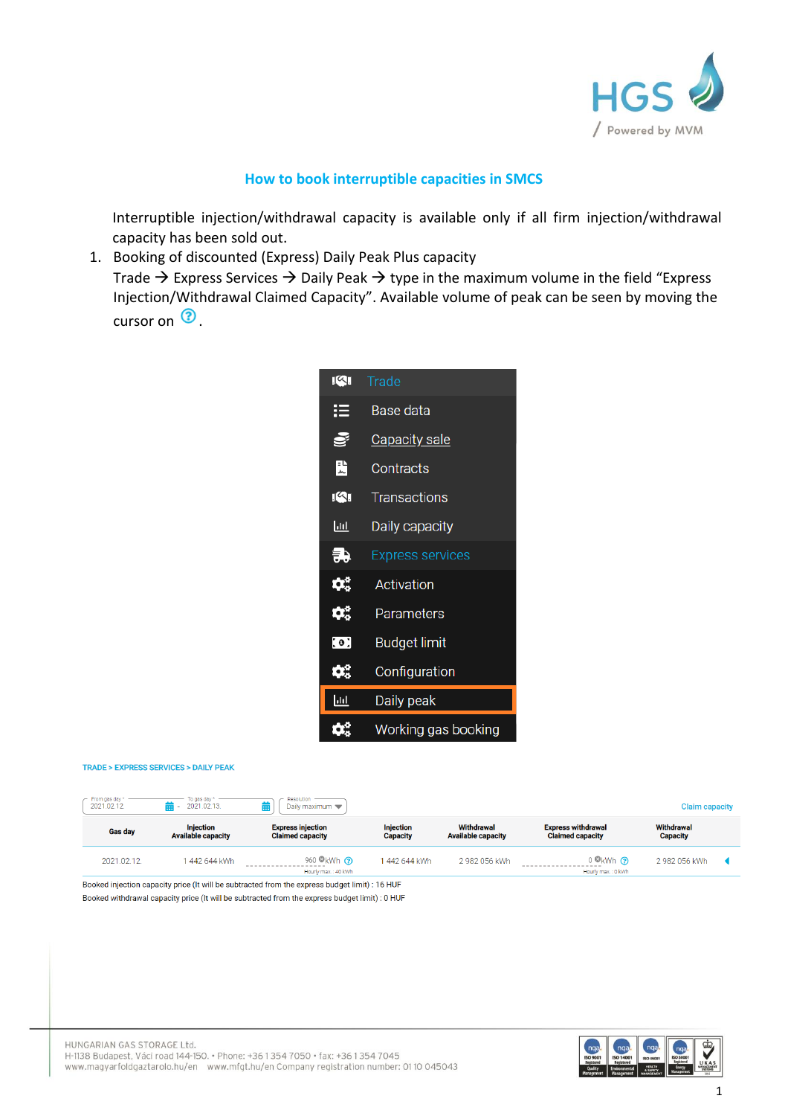

## **How to book interruptible capacities in SMCS**

Interruptible injection/withdrawal capacity is available only if all firm injection/withdrawal capacity has been sold out.

1. Booking of discounted (Express) Daily Peak Plus capacity Trade  $\rightarrow$  Express Services  $\rightarrow$  Daily Peak  $\rightarrow$  type in the maximum volume in the field "Express" Injection/Withdrawal Claimed Capacity". Available volume of peak can be seen by moving the cursor on  $\odot$ .



## TRADE > EXPRESS SERVICES > DAILY PEAK

| From gas day *<br>Resolution<br>To gas day?<br>2021.02.13.<br>2021.02.12.<br>Daily maximum<br><b>Claim capacity</b><br>= |                                               |                                                     |                                     |                                         |                                                      |                               |  |
|--------------------------------------------------------------------------------------------------------------------------|-----------------------------------------------|-----------------------------------------------------|-------------------------------------|-----------------------------------------|------------------------------------------------------|-------------------------------|--|
| <b>Gas day</b>                                                                                                           | <b>Injection</b><br><b>Available capacity</b> | <b>Express injection</b><br><b>Claimed capacity</b> | <b>Injection</b><br><b>Capacity</b> | Withdrawal<br><b>Available capacity</b> | <b>Express withdrawal</b><br><b>Claimed capacity</b> | Withdrawal<br><b>Capacity</b> |  |
| 2021.02.12.                                                                                                              | 442 644 kWh                                   | 960 $\odot$ kWh $\odot$<br>Hourly max : 40 kWh      | 442 644 kWh                         | 2 982 056 kWh                           | $0$ kWh $\Omega$<br>Hourly max : 0 kWh               | 2 982 056 kWh                 |  |

Booked injection capacity price (It will be subtracted from the express budget limit) : 16 HUF Booked withdrawal capacity price (It will be subtracted from the express budget limit) : 0 HUF

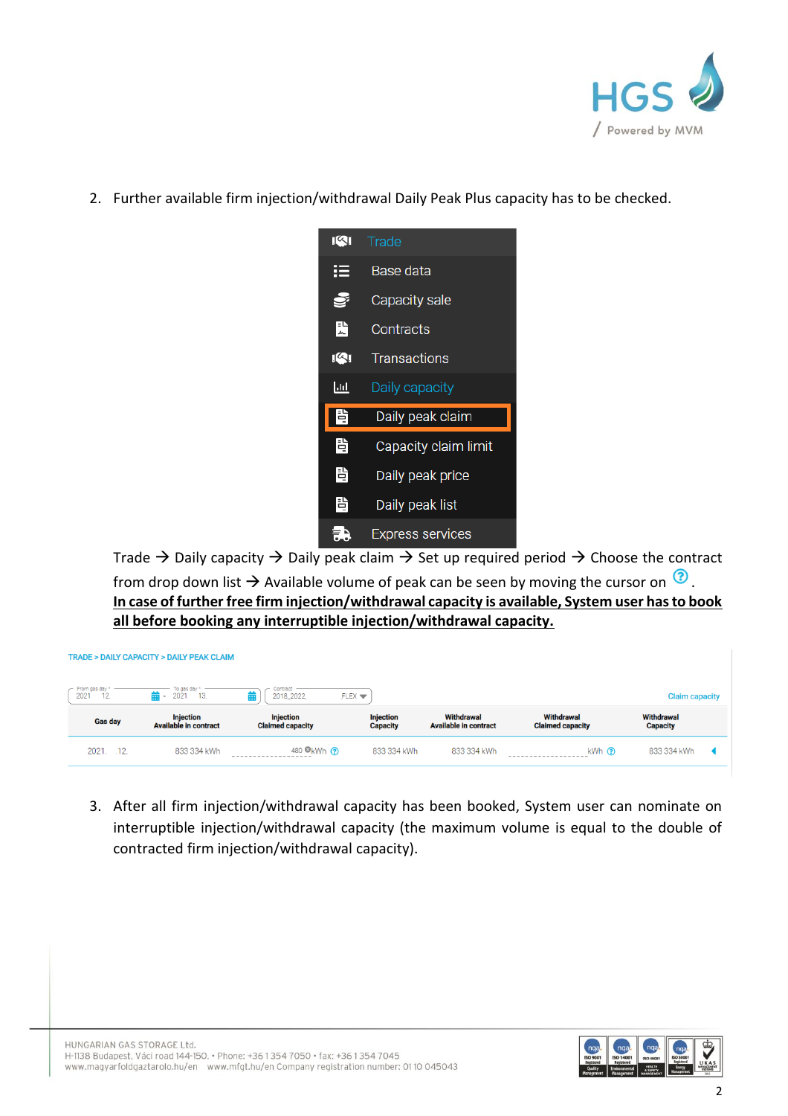

2. Further available firm injection/withdrawal Daily Peak Plus capacity has to be checked.

| 141 | Trade                   |  |  |  |  |
|-----|-------------------------|--|--|--|--|
| ⊨   | Base data               |  |  |  |  |
| Ş   | Capacity sale           |  |  |  |  |
| 픑   | Contracts               |  |  |  |  |
| 141 | <b>Transactions</b>     |  |  |  |  |
| 교   | Daily capacity          |  |  |  |  |
| 目   | Daily peak claim        |  |  |  |  |
| 閆   | Capacity claim limit    |  |  |  |  |
| 閆   | Daily peak price        |  |  |  |  |
| 쁩   | Daily peak list         |  |  |  |  |
|     | <b>Express services</b> |  |  |  |  |

Trade  $\rightarrow$  Daily capacity  $\rightarrow$  Daily peak claim  $\rightarrow$  Set up required period  $\rightarrow$  Choose the contract from drop down list  $\rightarrow$  Available volume of peak can be seen by moving the cursor on  $\circled{2}$ . **In case of further free firm injection/withdrawal capacity is available, System user has to book all before booking any interruptible injection/withdrawal capacity.**

| <b>TRADE &gt; DAILY CAPACITY &gt; DAILY PEAK CLAIM</b> |                                                  |                                             |                                     |                                            |                                       |                               |
|--------------------------------------------------------|--------------------------------------------------|---------------------------------------------|-------------------------------------|--------------------------------------------|---------------------------------------|-------------------------------|
| $\Gamma$ From gas day *<br>2021<br>12.                 | To gas day<br>繭 -<br>2021<br>13.                 | Contract<br>龠<br>2018_2022                  | FLEX                                |                                            |                                       | <b>Claim capacity</b>         |
| Gas day                                                | <b>Injection</b><br><b>Available in contract</b> | <b>Injection</b><br><b>Claimed capacity</b> | <b>Injection</b><br><b>Capacity</b> | Withdrawal<br><b>Available in contract</b> | Withdrawal<br><b>Claimed capacity</b> | Withdrawal<br><b>Capacity</b> |
| 2021.<br>.12.                                          | 833 334 kWh                                      | 480 <b>O</b> kWh ?                          | 833 334 kWh                         | 833 334 kWh                                | $kWh$ $\odot$                         | 833 334 kWh                   |

3. After all firm injection/withdrawal capacity has been booked, System user can nominate on interruptible injection/withdrawal capacity (the maximum volume is equal to the double of contracted firm injection/withdrawal capacity).